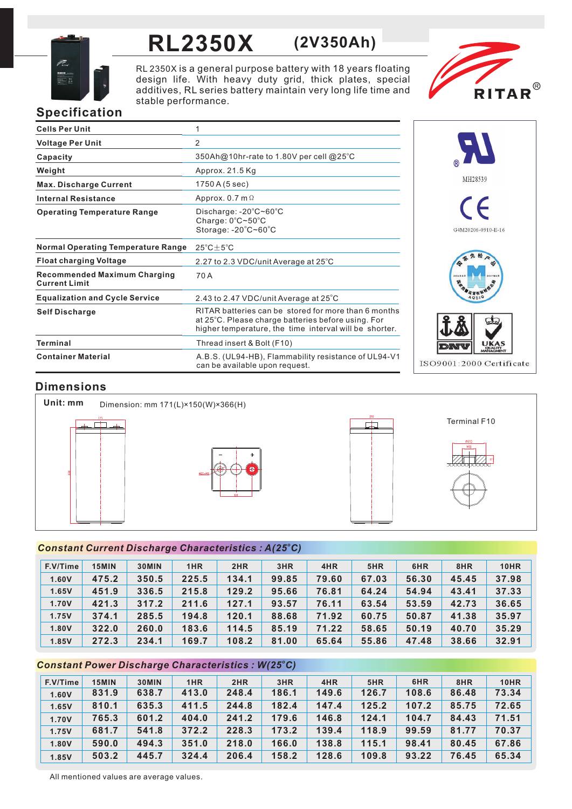

# **RL2350X (2V350Ah)**

RL 2350X is a general purpose battery with 18 years floating design life. With heavy duty grid, thick plates, special additives, RL series battery maintain very long life time and stable performance.



## **Specification**

| <b>Cells Per Unit</b>                                       | 1                                                                                                                                                                    |
|-------------------------------------------------------------|----------------------------------------------------------------------------------------------------------------------------------------------------------------------|
| <b>Voltage Per Unit</b>                                     | 2                                                                                                                                                                    |
| Capacity                                                    | 350Ah@10hr-rate to 1.80V per cell @25°C                                                                                                                              |
| Weight                                                      | Approx. 21.5 Kg                                                                                                                                                      |
| <b>Max. Discharge Current</b>                               | 1750 A (5 sec)                                                                                                                                                       |
| <b>Internal Resistance</b>                                  | Approx. $0.7$ m $\Omega$                                                                                                                                             |
| <b>Operating Temperature Range</b>                          | Discharge: -20°C~60°C<br>Charge: 0°C~50°C<br>Storage: -20°C~60°C                                                                                                     |
| <b>Normal Operating Temperature Range</b>                   | $25^{\circ}$ C $\pm$ 5 $^{\circ}$ C                                                                                                                                  |
| <b>Float charging Voltage</b>                               | 2.27 to 2.3 VDC/unit Average at 25°C                                                                                                                                 |
| <b>Recommended Maximum Charging</b><br><b>Current Limit</b> | 70 A                                                                                                                                                                 |
| <b>Equalization and Cycle Service</b>                       | 2.43 to 2.47 VDC/unit Average at 25°C                                                                                                                                |
| <b>Self Discharge</b>                                       | RITAR batteries can be stored for more than 6 months<br>at 25°C. Please charge batteries before using. For<br>higher temperature, the time interval will be shorter. |
| <b>Terminal</b>                                             | Thread insert & Bolt (F10)                                                                                                                                           |
| <b>Container Material</b>                                   | A.B.S. (UL94-HB), Flammability resistance of UL94-V1<br>can be available upon request.                                                                               |



## **Dimensions**



### *<sup>o</sup> Constant Current Discharge Characteristics : A(25 C)*

| F.V/Time | 15MIN | 30MIN | 1HR   | 2HR   | 3HR   | 4HR   | 5HR   | 6HR   | 8HR   | <b>10HR</b> |
|----------|-------|-------|-------|-------|-------|-------|-------|-------|-------|-------------|
| 1.60V    | 475.2 | 350.5 | 225.5 | 134.1 | 99.85 | 79.60 | 67.03 | 56.30 | 45.45 | 37.98       |
| 1.65V    | 451.9 | 336.5 | 215.8 | 129.2 | 95.66 | 76.81 | 64.24 | 54.94 | 43.41 | 37.33       |
| 1.70V    | 421.3 | 317.2 | 211.6 | 127.1 | 93.57 | 76.11 | 63.54 | 53.59 | 42.73 | 36.65       |
| 1.75V    | 374.1 | 285.5 | 194.8 | 120.1 | 88.68 | 71.92 | 60.75 | 50.87 | 41.38 | 35.97       |
| 1.80V    | 322.0 | 260.0 | 183.6 | 114.5 | 85.19 | 71.22 | 58.65 | 50.19 | 40.70 | 35.29       |
| 1.85V    | 272.3 | 234.1 | 169.7 | 108.2 | 81.00 | 65.64 | 55.86 | 47.48 | 38.66 | 32.91       |

## *<sup>o</sup> Constant Power Discharge Characteristics : W(25 C)*

| F.V/Time | 15MIN | 30MIN | 1HR   | 2HR   | 3HR   | 4HR   | 5HR   | 6HR   | 8HR   | <b>10HR</b> |
|----------|-------|-------|-------|-------|-------|-------|-------|-------|-------|-------------|
| 1.60V    | 831.9 | 638.7 | 413.0 | 248.4 | 186.1 | 149.6 | 126.7 | 108.6 | 86.48 | 73.34       |
| 1.65V    | 810.1 | 635.3 | 411.5 | 244.8 | 182.4 | 147.4 | 125.2 | 107.2 | 85.75 | 72.65       |
| 1.70V    | 765.3 | 601.2 | 404.0 | 241.2 | 179.6 | 146.8 | 124.1 | 104.7 | 84.43 | 71.51       |
| 1.75V    | 681.7 | 541.8 | 372.2 | 228.3 | 173.2 | 139.4 | 118.9 | 99.59 | 81.77 | 70.37       |
| 1.80V    | 590.0 | 494.3 | 351.0 | 218.0 | 166.0 | 138.8 | 115.1 | 98.41 | 80.45 | 67.86       |
| 1.85V    | 503.2 | 445.7 | 324.4 | 206.4 | 158.2 | 128.6 | 109.8 | 93.22 | 76.45 | 65.34       |

All mentioned values are average values.